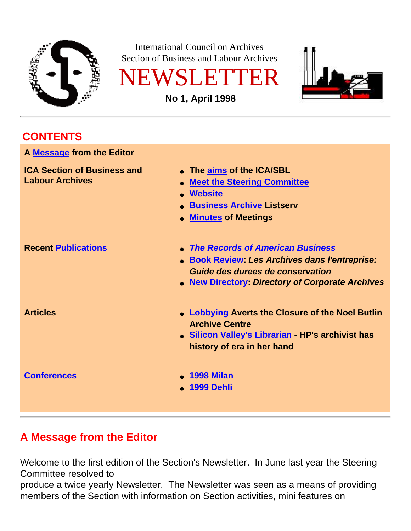

International Council on Archives Section of Business and Labour Archives





**No 1, April 1998**

## **CONTENTS**

<span id="page-0-1"></span>

| A Message from the Editor                                    |                                                                                                                                                                                                     |
|--------------------------------------------------------------|-----------------------------------------------------------------------------------------------------------------------------------------------------------------------------------------------------|
| <b>ICA Section of Business and</b><br><b>Labour Archives</b> | • The aims of the ICA/SBL<br><b>Meet the Steering Committee</b><br><b>Website</b><br><b>Business Archive Listserv</b><br><b>Minutes of Meetings</b>                                                 |
| <b>Recent Publications</b>                                   | <b>The Records of American Business</b><br>• Book Review: Les Archives dans l'entreprise:<br>Guide des durees de conservation<br><b>New Directory: Directory of Corporate Archives</b><br>$\bullet$ |
| <b>Articles</b>                                              | • Lobbying Averts the Closure of the Noel Butlin<br><b>Archive Centre</b><br>· Silicon Valley's Librarian - HP's archivist has<br>history of era in her hand                                        |
| <b>Conferences</b>                                           | <b>1998 Milan</b><br><b>1999 Dehli</b>                                                                                                                                                              |

# <span id="page-0-0"></span>**A Message from the Editor**

Welcome to the first edition of the Section's Newsletter. In June last year the Steering Committee resolved to

produce a twice yearly Newsletter. The Newsletter was seen as a means of providing members of the Section with information on Section activities, mini features on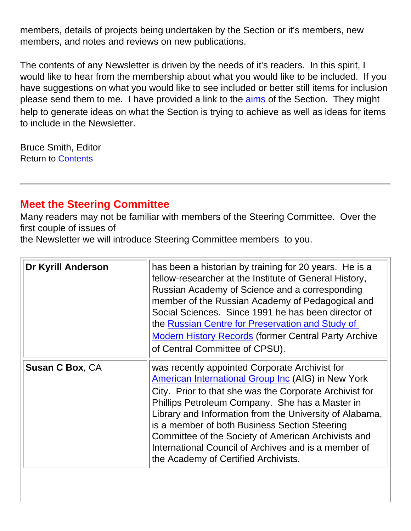members, details of projects being undertaken by the Section or it's members, new members, and notes and reviews on new publications.

The contents of any Newsletter is driven by the needs of it's readers. In this spirit, I would like to hear from the membership about what you would like to be included. If you have suggestions on what you would like to see included or better still items for inclusion please send them to me. I have provided a link to the aims of the Section. They might help to generate ideas on what the Section is trying to achieve as well as ideas for items to include in the Newsletter.

Bruce Smith, Editor Return to [Contents](#page-0-1)

### **Meet the Steering Committee**

Many readers may not be familiar with members of the Steering Committee. Over the first couple of issues of

the Newsletter we will introduce Steering Committee members to you.

| <b>Dr Kyrill Anderson</b> | has been a historian by training for 20 years. He is a<br>fellow-researcher at the Institute of General History,<br>Russian Academy of Science and a corresponding<br>member of the Russian Academy of Pedagogical and<br>Social Sciences. Since 1991 he has been director of<br>the Russian Centre for Preservation and Study of<br><b>Modern History Records (former Central Party Archive</b><br>of Central Committee of CPSU).                                                    |
|---------------------------|---------------------------------------------------------------------------------------------------------------------------------------------------------------------------------------------------------------------------------------------------------------------------------------------------------------------------------------------------------------------------------------------------------------------------------------------------------------------------------------|
| <b>Susan C Box, CA</b>    | was recently appointed Corporate Archivist for<br>American International Group Inc (AIG) in New York<br>City. Prior to that she was the Corporate Archivist for<br>Phillips Petroleum Company. She has a Master in<br>Library and Information from the University of Alabama,<br>is a member of both Business Section Steering<br>Committee of the Society of American Archivists and<br>International Council of Archives and is a member of<br>the Academy of Certified Archivists. |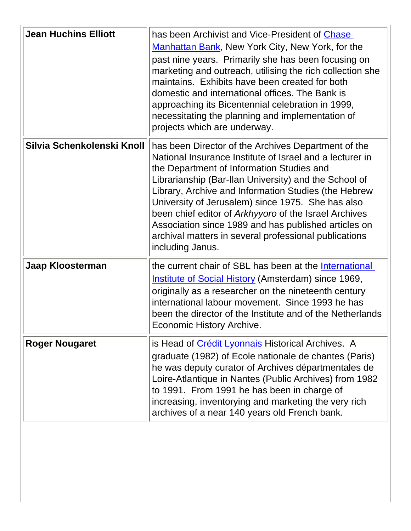| <b>Jean Huchins Elliott</b> | has been Archivist and Vice-President of Chase<br>Manhattan Bank, New York City, New York, for the<br>past nine years. Primarily she has been focusing on<br>marketing and outreach, utilising the rich collection she<br>maintains. Exhibits have been created for both<br>domestic and international offices. The Bank is<br>approaching its Bicentennial celebration in 1999,<br>necessitating the planning and implementation of<br>projects which are underway.                                                             |
|-----------------------------|----------------------------------------------------------------------------------------------------------------------------------------------------------------------------------------------------------------------------------------------------------------------------------------------------------------------------------------------------------------------------------------------------------------------------------------------------------------------------------------------------------------------------------|
| Silvia Schenkolenski Knoll  | has been Director of the Archives Department of the<br>National Insurance Institute of Israel and a lecturer in<br>the Department of Information Studies and<br>Librarianship (Bar-Ilan University) and the School of<br>Library, Archive and Information Studies (the Hebrew<br>University of Jerusalem) since 1975. She has also<br>been chief editor of Arkhyyoro of the Israel Archives<br>Association since 1989 and has published articles on<br>archival matters in several professional publications<br>including Janus. |
| Jaap Kloosterman            | the current chair of SBL has been at the International<br><b>Institute of Social History (Amsterdam) since 1969,</b><br>originally as a researcher on the nineteenth century<br>international labour movement. Since 1993 he has<br>been the director of the Institute and of the Netherlands<br><b>Economic History Archive.</b>                                                                                                                                                                                                |
| <b>Roger Nougaret</b>       | is Head of Crédit Lyonnais Historical Archives. A<br>graduate (1982) of Ecole nationale de chantes (Paris)<br>he was deputy curator of Archives départmentales de<br>Loire-Atlantique in Nantes (Public Archives) from 1982<br>to 1991. From 1991 he has been in charge of<br>increasing, inventorying and marketing the very rich<br>archives of a near 140 years old French bank.                                                                                                                                              |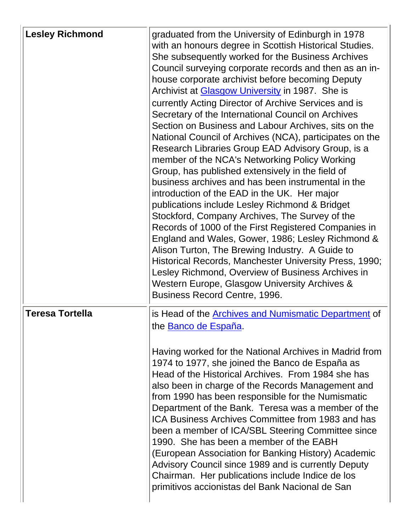| <b>Lesley Richmond</b> | graduated from the University of Edinburgh in 1978<br>with an honours degree in Scottish Historical Studies.<br>She subsequently worked for the Business Archives<br>Council surveying corporate records and then as an in-<br>house corporate archivist before becoming Deputy<br>Archivist at Glasgow University in 1987. She is<br>currently Acting Director of Archive Services and is<br>Secretary of the International Council on Archives<br>Section on Business and Labour Archives, sits on the<br>National Council of Archives (NCA), participates on the<br>Research Libraries Group EAD Advisory Group, is a<br>member of the NCA's Networking Policy Working<br>Group, has published extensively in the field of<br>business archives and has been instrumental in the<br>introduction of the EAD in the UK. Her major<br>publications include Lesley Richmond & Bridget<br>Stockford, Company Archives, The Survey of the<br>Records of 1000 of the First Registered Companies in<br>England and Wales, Gower, 1986; Lesley Richmond &<br>Alison Turton, The Brewing Industry. A Guide to<br>Historical Records, Manchester University Press, 1990;<br>Lesley Richmond, Overview of Business Archives in<br>Western Europe, Glasgow University Archives &<br>Business Record Centre, 1996. |
|------------------------|----------------------------------------------------------------------------------------------------------------------------------------------------------------------------------------------------------------------------------------------------------------------------------------------------------------------------------------------------------------------------------------------------------------------------------------------------------------------------------------------------------------------------------------------------------------------------------------------------------------------------------------------------------------------------------------------------------------------------------------------------------------------------------------------------------------------------------------------------------------------------------------------------------------------------------------------------------------------------------------------------------------------------------------------------------------------------------------------------------------------------------------------------------------------------------------------------------------------------------------------------------------------------------------------------------|
| <b>Teresa Tortella</b> | is Head of the <b>Archives and Numismatic Department</b> of<br>the Banco de España.<br>Having worked for the National Archives in Madrid from<br>1974 to 1977, she joined the Banco de España as<br>Head of the Historical Archives. From 1984 she has<br>also been in charge of the Records Management and<br>from 1990 has been responsible for the Numismatic<br>Department of the Bank. Teresa was a member of the<br>ICA Business Archives Committee from 1983 and has<br>been a member of ICA/SBL Steering Committee since<br>1990. She has been a member of the EABH<br>(European Association for Banking History) Academic<br>Advisory Council since 1989 and is currently Deputy<br>Chairman. Her publications include Indice de los<br>primitivos accionistas del Bank Nacional de San                                                                                                                                                                                                                                                                                                                                                                                                                                                                                                         |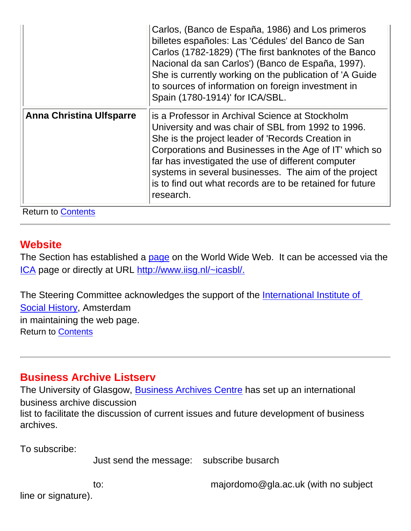|                                 | Carlos, (Banco de España, 1986) and Los primeros<br>billetes españoles: Las 'Cédules' del Banco de San<br>Carlos (1782-1829) ('The first banknotes of the Banco<br>Nacional da san Carlos') (Banco de España, 1997).<br>She is currently working on the publication of 'A Guide<br>to sources of information on foreign investment in<br>Spain (1780-1914)' for ICA/SBL.                                      |
|---------------------------------|---------------------------------------------------------------------------------------------------------------------------------------------------------------------------------------------------------------------------------------------------------------------------------------------------------------------------------------------------------------------------------------------------------------|
| <b>Anna Christina Ulfsparre</b> | is a Professor in Archival Science at Stockholm<br>University and was chair of SBL from 1992 to 1996.<br>She is the project leader of 'Records Creation in<br>Corporations and Businesses in the Age of IT' which so<br>far has investigated the use of different computer<br>systems in several businesses. The aim of the project<br>is to find out what records are to be retained for future<br>research. |

Return to **Contents** 

#### **Website**

The Section has established a page on the World Wide Web. It can be accessed via the ICA page or directly at URL http://www.iisg.nl/~icasbl/.

The Steering Committee acknowledges the support of the International Institute of [Social History,](http://www.iisg.nl/) Amsterdam in maintaining the web page. Return to [Contents](#page-0-1)

### **Business Archive Listserv**

The University of Glasgow, Business Archives Centre has set up an international business archive discussion list to facilitate the discussion of current issues and future development of business archives.

To subscribe:

Just send the message: subscribe busarch

line or signature).

to: majordomo@gla.ac.uk (with no subject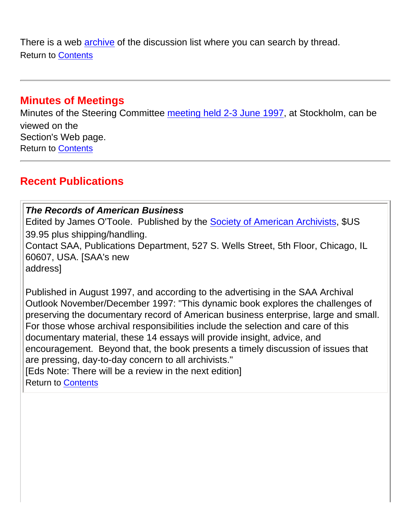There is a web archive of the discussion list where you can search by thread. Return to [Contents](#page-0-1)

### **Minutes of Meetings**

Minutes of the Steering Committee meeting held 2-3 June 1997, at Stockholm, can be viewed on the Section's Web page. Return to [Contents](#page-0-1)

## <span id="page-5-0"></span>**Recent Publications**

#### *The Records of American Business*

<span id="page-5-1"></span>Edited by James O'Toole. Published by the [Society of American Archivists](http://www.archivists.org/), \$US 39.95 plus shipping/handling.

Contact SAA, Publications Department, 527 S. Wells Street, 5th Floor, Chicago, IL 60607, USA. [SAA's new

address]

Published in August 1997, and according to the advertising in the SAA Archival Outlook November/December 1997: "This dynamic book explores the challenges of preserving the documentary record of American business enterprise, large and small. For those whose archival responsibilities include the selection and care of this documentary material, these 14 essays will provide insight, advice, and encouragement. Beyond that, the book presents a timely discussion of issues that are pressing, day-to-day concern to all archivists."

<span id="page-5-2"></span>[Eds Note: There will be a review in the next edition] Return to [Contents](#page-0-1)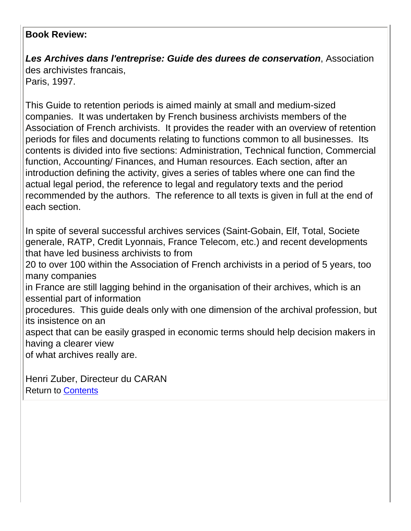#### **Book Review:**

*Les Archives dans l'entreprise: Guide des durees de conservation*, Association des archivistes francais, Paris, 1997.

This Guide to retention periods is aimed mainly at small and medium-sized companies. It was undertaken by French business archivists members of the Association of French archivists. It provides the reader with an overview of retention periods for files and documents relating to functions common to all businesses. Its contents is divided into five sections: Administration, Technical function, Commercial function, Accounting/ Finances, and Human resources. Each section, after an introduction defining the activity, gives a series of tables where one can find the actual legal period, the reference to legal and regulatory texts and the period recommended by the authors. The reference to all texts is given in full at the end of each section.

In spite of several successful archives services (Saint-Gobain, Elf, Total, Societe generale, RATP, Credit Lyonnais, France Telecom, etc.) and recent developments that have led business archivists to from 20 to over 100 within the Association of French archivists in a period of 5 years, too many companies in France are still lagging behind in the organisation of their archives, which is an essential part of information procedures. This guide deals only with one dimension of the archival profession, but its insistence on an aspect that can be easily grasped in economic terms should help decision makers in having a clearer view of what archives really are.

Henri Zuber, Directeur du CARAN Return to [Contents](#page-0-1)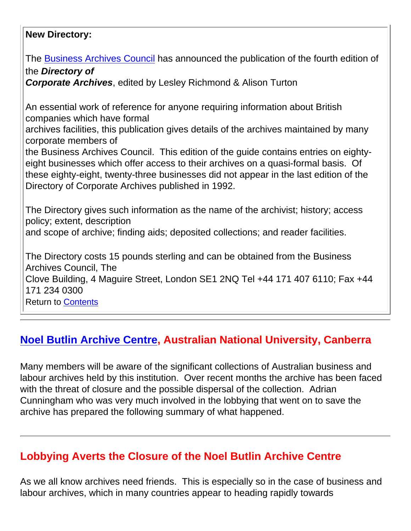#### <span id="page-7-0"></span>**New Directory:**

The Business Archives Council has announced the publication of the fourth edition of the *Directory of Corporate Archives*, edited by Lesley Richmond & Alison Turton An essential work of reference for anyone requiring information about British companies which have formal archives facilities, this publication gives details of the archives maintained by many corporate members of the Business Archives Council. This edition of the guide contains entries on eightyeight businesses which offer access to their archives on a quasi-formal basis. Of these eighty-eight, twenty-three businesses did not appear in the last edition of the Directory of Corporate Archives published in 1992. The Directory gives such information as the name of the archivist; history; access policy; extent, description and scope of archive; finding aids; deposited collections; and reader facilities. The Directory costs 15 pounds sterling and can be obtained from the Business Archives Council, The Clove Building, 4 Maguire Street, London SE1 2NQ Tel +44 171 407 6110; Fax +44 171 234 0300 Return to [Contents](#page-0-1)

# <span id="page-7-1"></span>**[Noel Butlin Archive Centre,](http://elisa.anu.edu.au/nbac) Australian National University, Canberra**

Many members will be aware of the significant collections of Australian business and labour archives held by this institution. Over recent months the archive has been faced with the threat of closure and the possible dispersal of the collection. Adrian Cunningham who was very much involved in the lobbying that went on to save the archive has prepared the following summary of what happened.

# **Lobbying Averts the Closure of the Noel Butlin Archive Centre**

As we all know archives need friends. This is especially so in the case of business and labour archives, which in many countries appear to heading rapidly towards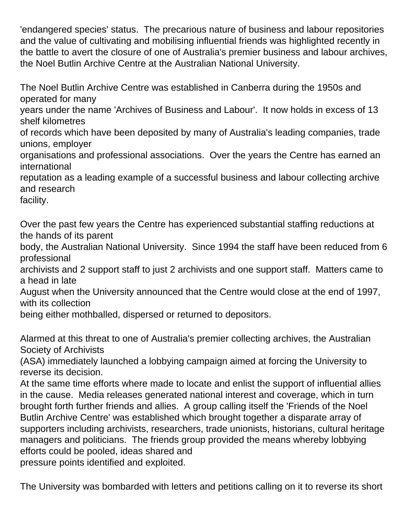'endangered species' status. The precarious nature of business and labour repositories and the value of cultivating and mobilising influential friends was highlighted recently in the battle to avert the closure of one of Australia's premier business and labour archives, the Noel Butlin Archive Centre at the Australian National University.

The Noel Butlin Archive Centre was established in Canberra during the 1950s and operated for many

years under the name 'Archives of Business and Labour'. It now holds in excess of 13 shelf kilometres

of records which have been deposited by many of Australia's leading companies, trade unions, employer

organisations and professional associations. Over the years the Centre has earned an international

reputation as a leading example of a successful business and labour collecting archive and research

facility.

Over the past few years the Centre has experienced substantial staffing reductions at the hands of its parent

body, the Australian National University. Since 1994 the staff have been reduced from 6 professional

archivists and 2 support staff to just 2 archivists and one support staff. Matters came to a head in late

August when the University announced that the Centre would close at the end of 1997, with its collection

being either mothballed, dispersed or returned to depositors.

Alarmed at this threat to one of Australia's premier collecting archives, the Australian Society of Archivists

(ASA) immediately launched a lobbying campaign aimed at forcing the University to reverse its decision.

At the same time efforts where made to locate and enlist the support of influential allies in the cause. Media releases generated national interest and coverage, which in turn brought forth further friends and allies. A group calling itself the 'Friends of the Noel Butlin Archive Centre' was established which brought together a disparate array of supporters including archivists, researchers, trade unionists, historians, cultural heritage managers and politicians. The friends group provided the means whereby lobbying efforts could be pooled, ideas shared and pressure points identified and exploited.

The University was bombarded with letters and petitions calling on it to reverse its short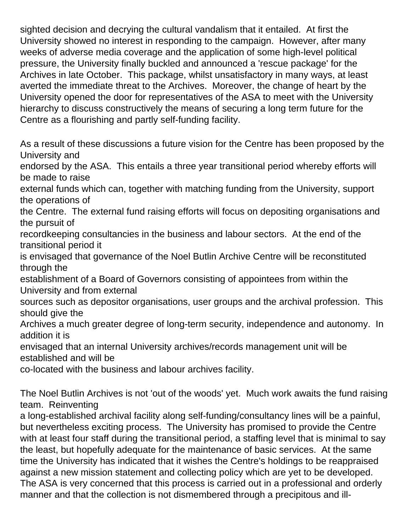sighted decision and decrying the cultural vandalism that it entailed. At first the University showed no interest in responding to the campaign. However, after many weeks of adverse media coverage and the application of some high-level political pressure, the University finally buckled and announced a 'rescue package' for the Archives in late October. This package, whilst unsatisfactory in many ways, at least averted the immediate threat to the Archives. Moreover, the change of heart by the University opened the door for representatives of the ASA to meet with the University hierarchy to discuss constructively the means of securing a long term future for the Centre as a flourishing and partly self-funding facility.

As a result of these discussions a future vision for the Centre has been proposed by the University and

endorsed by the ASA. This entails a three year transitional period whereby efforts will be made to raise

external funds which can, together with matching funding from the University, support the operations of

the Centre. The external fund raising efforts will focus on depositing organisations and the pursuit of

recordkeeping consultancies in the business and labour sectors. At the end of the transitional period it

is envisaged that governance of the Noel Butlin Archive Centre will be reconstituted through the

establishment of a Board of Governors consisting of appointees from within the University and from external

sources such as depositor organisations, user groups and the archival profession. This should give the

Archives a much greater degree of long-term security, independence and autonomy. In addition it is

envisaged that an internal University archives/records management unit will be established and will be

co-located with the business and labour archives facility.

The Noel Butlin Archives is not 'out of the woods' yet. Much work awaits the fund raising team. Reinventing

a long-established archival facility along self-funding/consultancy lines will be a painful, but nevertheless exciting process. The University has promised to provide the Centre with at least four staff during the transitional period, a staffing level that is minimal to say the least, but hopefully adequate for the maintenance of basic services. At the same time the University has indicated that it wishes the Centre's holdings to be reappraised against a new mission statement and collecting policy which are yet to be developed. The ASA is very concerned that this process is carried out in a professional and orderly manner and that the collection is not dismembered through a precipitous and ill-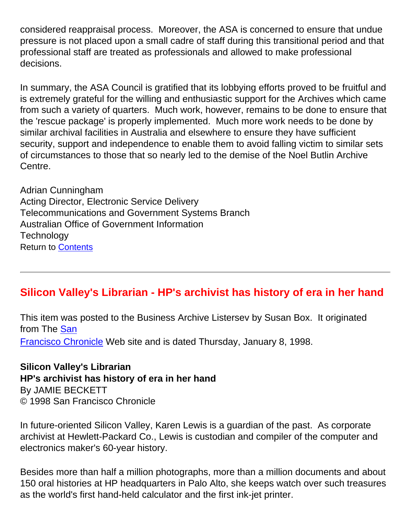considered reappraisal process. Moreover, the ASA is concerned to ensure that undue pressure is not placed upon a small cadre of staff during this transitional period and that professional staff are treated as professionals and allowed to make professional decisions.

In summary, the ASA Council is gratified that its lobbying efforts proved to be fruitful and is extremely grateful for the willing and enthusiastic support for the Archives which came from such a variety of quarters. Much work, however, remains to be done to ensure that the 'rescue package' is properly implemented. Much more work needs to be done by similar archival facilities in Australia and elsewhere to ensure they have sufficient security, support and independence to enable them to avoid falling victim to similar sets of circumstances to those that so nearly led to the demise of the Noel Butlin Archive Centre.

Adrian Cunningham Acting Director, Electronic Service Delivery Telecommunications and Government Systems Branch Australian Office of Government Information **Technology** Return to [Contents](#page-0-1)

## <span id="page-10-0"></span>**Silicon Valley's Librarian - HP's archivist has history of era in her hand**

This item was posted to the Business Archive Listersev by Susan Box. It originated from The [San](http://www.sfgate.com/) [Francisco Chronicle](http://www.sfgate.com/) Web site and is dated Thursday, January 8, 1998.

**Silicon Valley's Librarian HP's archivist has history of era in her hand** By JAMIE BECKETT © 1998 San Francisco Chronicle

In future-oriented Silicon Valley, Karen Lewis is a guardian of the past. As corporate archivist at Hewlett-Packard Co., Lewis is custodian and compiler of the computer and electronics maker's 60-year history.

Besides more than half a million photographs, more than a million documents and about 150 oral histories at HP headquarters in Palo Alto, she keeps watch over such treasures as the world's first hand-held calculator and the first ink-jet printer.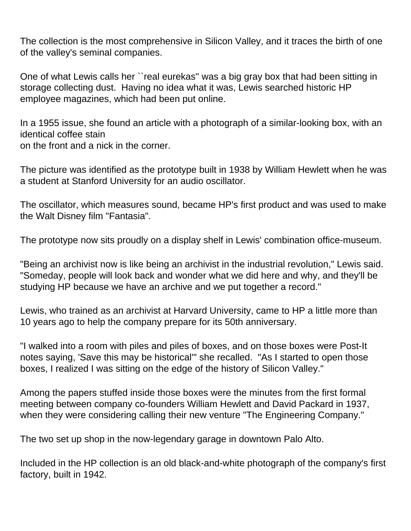The collection is the most comprehensive in Silicon Valley, and it traces the birth of one of the valley's seminal companies.

One of what Lewis calls her ``real eurekas'' was a big gray box that had been sitting in storage collecting dust. Having no idea what it was, Lewis searched historic HP employee magazines, which had been put online.

In a 1955 issue, she found an article with a photograph of a similar-looking box, with an identical coffee stain on the front and a nick in the corner.

The picture was identified as the prototype built in 1938 by William Hewlett when he was a student at Stanford University for an audio oscillator.

The oscillator, which measures sound, became HP's first product and was used to make the Walt Disney film "Fantasia".

The prototype now sits proudly on a display shelf in Lewis' combination office-museum.

"Being an archivist now is like being an archivist in the industrial revolution," Lewis said. "Someday, people will look back and wonder what we did here and why, and they'll be studying HP because we have an archive and we put together a record."

Lewis, who trained as an archivist at Harvard University, came to HP a little more than 10 years ago to help the company prepare for its 50th anniversary.

"I walked into a room with piles and piles of boxes, and on those boxes were Post-It notes saying, 'Save this may be historical'" she recalled. "As I started to open those boxes, I realized I was sitting on the edge of the history of Silicon Valley."

Among the papers stuffed inside those boxes were the minutes from the first formal meeting between company co-founders William Hewlett and David Packard in 1937, when they were considering calling their new venture "The Engineering Company."

The two set up shop in the now-legendary garage in downtown Palo Alto.

Included in the HP collection is an old black-and-white photograph of the company's first factory, built in 1942.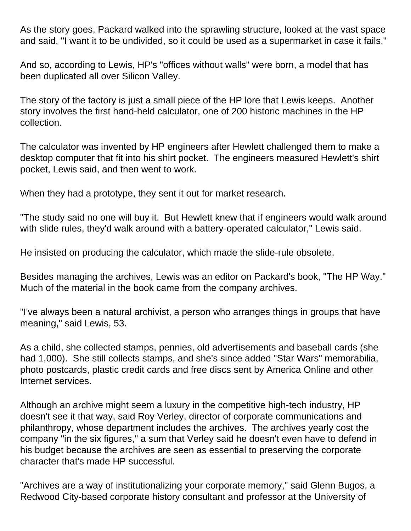As the story goes, Packard walked into the sprawling structure, looked at the vast space and said, "I want it to be undivided, so it could be used as a supermarket in case it fails."

And so, according to Lewis, HP's "offices without walls" were born, a model that has been duplicated all over Silicon Valley.

The story of the factory is just a small piece of the HP lore that Lewis keeps. Another story involves the first hand-held calculator, one of 200 historic machines in the HP collection.

The calculator was invented by HP engineers after Hewlett challenged them to make a desktop computer that fit into his shirt pocket. The engineers measured Hewlett's shirt pocket, Lewis said, and then went to work.

When they had a prototype, they sent it out for market research.

"The study said no one will buy it. But Hewlett knew that if engineers would walk around with slide rules, they'd walk around with a battery-operated calculator," Lewis said.

He insisted on producing the calculator, which made the slide-rule obsolete.

Besides managing the archives, Lewis was an editor on Packard's book, "The HP Way." Much of the material in the book came from the company archives.

"I've always been a natural archivist, a person who arranges things in groups that have meaning," said Lewis, 53.

As a child, she collected stamps, pennies, old advertisements and baseball cards (she had 1,000). She still collects stamps, and she's since added "Star Wars" memorabilia, photo postcards, plastic credit cards and free discs sent by America Online and other Internet services.

Although an archive might seem a luxury in the competitive high-tech industry, HP doesn't see it that way, said Roy Verley, director of corporate communications and philanthropy, whose department includes the archives. The archives yearly cost the company "in the six figures," a sum that Verley said he doesn't even have to defend in his budget because the archives are seen as essential to preserving the corporate character that's made HP successful.

"Archives are a way of institutionalizing your corporate memory," said Glenn Bugos, a Redwood City-based corporate history consultant and professor at the University of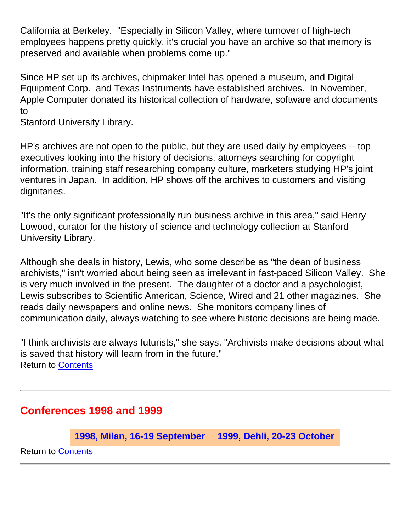California at Berkeley. "Especially in Silicon Valley, where turnover of high-tech employees happens pretty quickly, it's crucial you have an archive so that memory is preserved and available when problems come up."

Since HP set up its archives, chipmaker Intel has opened a museum, and Digital Equipment Corp. and Texas Instruments have established archives. In November, Apple Computer donated its historical collection of hardware, software and documents to

Stanford University Library.

HP's archives are not open to the public, but they are used daily by employees -- top executives looking into the history of decisions, attorneys searching for copyright information, training staff researching company culture, marketers studying HP's joint ventures in Japan. In addition, HP shows off the archives to customers and visiting dignitaries.

"It's the only significant professionally run business archive in this area," said Henry Lowood, curator for the history of science and technology collection at Stanford University Library.

Although she deals in history, Lewis, who some describe as "the dean of business archivists," isn't worried about being seen as irrelevant in fast-paced Silicon Valley. She is very much involved in the present. The daughter of a doctor and a psychologist, Lewis subscribes to Scientific American, Science, Wired and 21 other magazines. She reads daily newspapers and online news. She monitors company lines of communication daily, always watching to see where historic decisions are being made.

"I think archivists are always futurists," she says. "Archivists make decisions about what is saved that history will learn from in the future." Return to [Contents](#page-0-1)

## <span id="page-13-0"></span>**Conferences 1998 and 1999**

**1998, Milan, 16-19 September 1999, Dehli, 20-23 October**

Return to **[Contents](#page-0-1)**